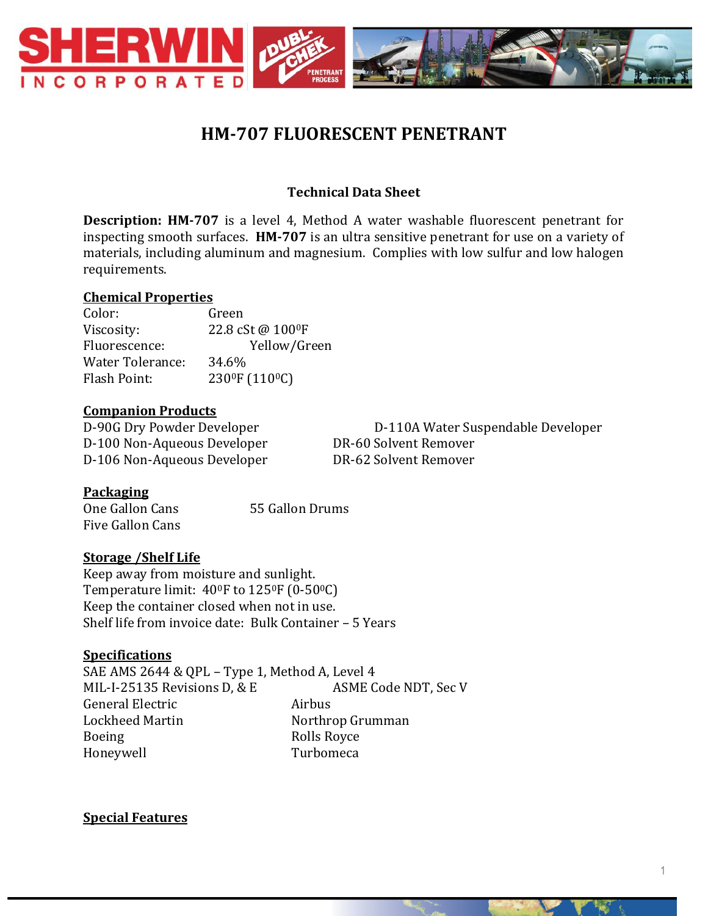

# **HM-707 FLUORESCENT PENETRANT**

## **Technical Data Sheet**

**Description: HM-707** is a level 4, Method A water washable fluorescent penetrant for inspecting smooth surfaces. **HM-707** is an ultra sensitive penetrant for use on a variety of materials, including aluminum and magnesium. Complies with low sulfur and low halogen requirements.

#### **Chemical Properties**

Color: Green Viscosity: 22.8 cSt @ 100 <sup>o</sup>F Fluorescence: Yellow/Green Water Tolerance: 34.6% Flash Point: 230<sup>0</sup>F (110<sup>0</sup>C)

#### **Companion Products**

D-100 Non-Aqueous Developer DR-60 Solvent Remover D-106 Non-Aqueous Developer DR-62 Solvent Remover

D-90G Dry Powder Developer D-110A Water Suspendable Developer

### **Packaging**

One Gallon Cans 55 Gallon Drums Five Gallon Cans

### **Storage /Shelf Life**

Keep away from moisture and sunlight. Temperature limit: 400F to 1250F (0-500C) Keep the container closed when not in use. Shelf life from invoice date: Bulk Container – 5 Years

### **Specifications**

SAE AMS 2644 & QPL – Type 1, Method A, Level 4 MIL-I-25135 Revisions D, & E ASME Code NDT, Sec V General Electric **Airbus** Lockheed Martin Northrop Grumman Boeing Rolls Royce Honeywell Turbomeca

**Special Features**